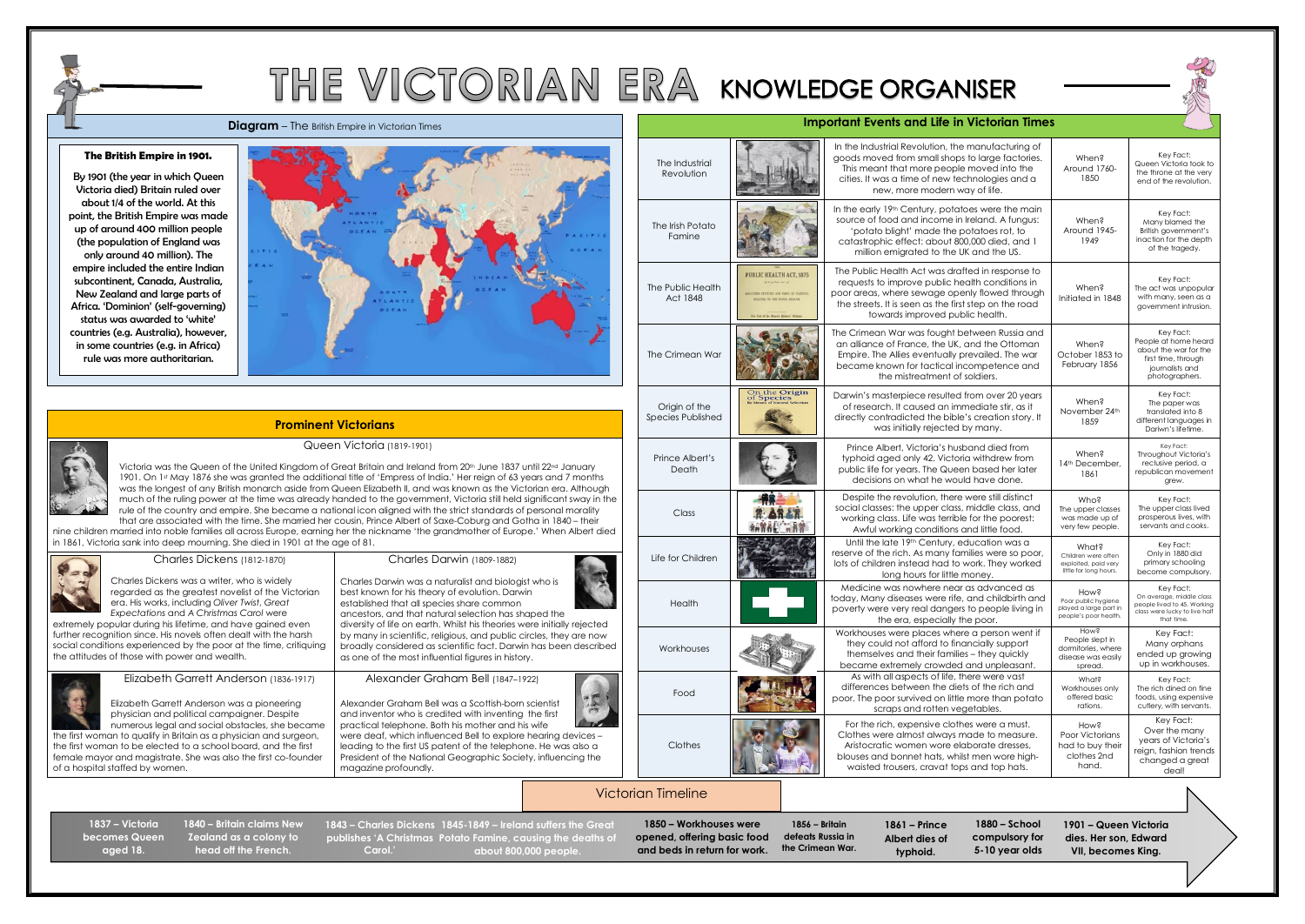# THE VICTORIAN ERA KNOWLEDGE ORGANISER

**Diagram** – The British Empire in Victorian Times **Inc. And Contact Access 2014 Important Events and Life in Victorian Times** 

Victoria was the Queen of the United Kingdom of Great Britain and Ireland from 20th June 1837 until 22nd January 1901. On 1st May 1876 she was granted the additional title of 'Empress of India.' Her reign of 63 years and 7 months was the longest of any British monarch aside from Queen Elizabeth II, and was known as the Victorian era. Although much of the ruling power at the time was already handed to the government, Victoria still held significant sway in the rule of the country and empire. She became a national icon aligned with the strict standards of personal morality that are associated with the time. She married her cousin, Prince Albert of Saxe-Coburg and Gotha in 1840 – their

### Queen Victoria (1819-1901)

nine children married into noble families all across Europe, earning her the nickname 'the grandmother of Europe.' When Albert died in 1861, Victoria sank into deep mourning. She died in 1901 at the age of 81.

|                                                                                                                                                                                                                                                                                                                                                                                                                                                                                                                                                                                                                          |                                                                                                                                                                                                                                                                                                                                                                                                                                                     |        | The Industrial<br>Revolution              |                                                                                                                                                                                       | In the Industrial Revolution, the manufacturing of<br>goods moved from small shops to large factories.<br>This meant that more people moved into the<br>cities. It was a time of new technologies and a<br>new, more modern way of life.          | When?<br>Around 1760-<br>1850                                                                                       | Key Fact:<br>Queen Victoria took to<br>the throne at the very<br>end of the revolution.                                |
|--------------------------------------------------------------------------------------------------------------------------------------------------------------------------------------------------------------------------------------------------------------------------------------------------------------------------------------------------------------------------------------------------------------------------------------------------------------------------------------------------------------------------------------------------------------------------------------------------------------------------|-----------------------------------------------------------------------------------------------------------------------------------------------------------------------------------------------------------------------------------------------------------------------------------------------------------------------------------------------------------------------------------------------------------------------------------------------------|--------|-------------------------------------------|---------------------------------------------------------------------------------------------------------------------------------------------------------------------------------------|---------------------------------------------------------------------------------------------------------------------------------------------------------------------------------------------------------------------------------------------------|---------------------------------------------------------------------------------------------------------------------|------------------------------------------------------------------------------------------------------------------------|
|                                                                                                                                                                                                                                                                                                                                                                                                                                                                                                                                                                                                                          |                                                                                                                                                                                                                                                                                                                                                                                                                                                     |        | The Irish Potato<br>Famine                |                                                                                                                                                                                       | In the early 19th Century, potatoes were the main<br>source of food and income in Ireland. A fungus:<br>'potato blight' made the potatoes rot, to<br>catastrophic effect: about 800,000 died, and 1<br>million emigrated to the UK and the US.    | When?<br>Around 1945-<br>1949                                                                                       | Key Fact:<br>Many blamed the<br>British government's<br>inaction for the depth<br>of the tragedy.                      |
| TLAN<br>0000                                                                                                                                                                                                                                                                                                                                                                                                                                                                                                                                                                                                             |                                                                                                                                                                                                                                                                                                                                                                                                                                                     |        | The Public Health<br>Act 1848             | <b>PUBLIC HEALTH ACT, 1875</b><br>NO OTHER STATUTES AND PARTS OF STATUTE<br>LATING TO THE PUBLIC BEALTH.                                                                              | The Public Health Act was drafted in response to<br>requests to improve public health conditions in<br>poor areas, where sewage openly flowed through<br>the streets. It is seen as the first step on the road<br>towards improved public health. | When?<br>Initiated in 1848                                                                                          | Key Fact:<br>The act was unpopular<br>with many, seen as a<br>government intrusion.                                    |
|                                                                                                                                                                                                                                                                                                                                                                                                                                                                                                                                                                                                                          |                                                                                                                                                                                                                                                                                                                                                                                                                                                     |        | The Crimean War                           |                                                                                                                                                                                       | The Crimean War was fought between Russia and<br>an alliance of France, the UK, and the Ottoman<br>Empire. The Allies eventually prevailed. The war<br>became known for tactical incompetence and<br>the mistreatment of soldiers.                | When?<br>October 1853 to<br>February 1856                                                                           | Key Fact:<br>People at home heard<br>about the war for the<br>first time, through<br>journalists and<br>photographers. |
|                                                                                                                                                                                                                                                                                                                                                                                                                                                                                                                                                                                                                          | <b>Prominent Victorians</b>                                                                                                                                                                                                                                                                                                                                                                                                                         |        | Origin of the<br><b>Species Published</b> | On the Origin<br>of Species                                                                                                                                                           | Darwin's masterpiece resulted from over 20 years<br>of research. It caused an immediate stir, as it<br>directly contradicted the bible's creation story. It<br>was initially rejected by many.                                                    | When?<br>November 24th<br>1859                                                                                      | Key Fact:<br>The paper was<br>translated into 8<br>different languages in<br>Dariwn's lifetime.                        |
| Queen Victoria (1819-1901)<br>l Kingdom of Great Britain and Ireland from 20th June 1837 until 22nd January<br>ed the additional title of 'Empress of India.' Her reign of 63 years and 7 months<br>h aside from Queen Elizabeth II, and was known as the Victorian era. Although:<br>was already handed to the government, Victoria still held significant sway in the<br>became a national icon aligned with the strict standards of personal morality<br>e married her cousin, Prince Albert of Saxe-Coburg and Gotha in 1840 – their<br>rope, earning her the nickname 'the grandmother of Europe.' When Albert died |                                                                                                                                                                                                                                                                                                                                                                                                                                                     |        | Prince Albert's<br>Death                  |                                                                                                                                                                                       | Prince Albert, Victoria's husband died from<br>typhoid aged only 42. Victoria withdrew from<br>public life for years. The Queen based her later<br>decisions on what he would have done.                                                          | When?<br>14 <sup>th</sup> December,<br>1861                                                                         | Key Fact:<br>Throughout Victoria's<br>reclusive period, a<br>republican movement<br>grew.                              |
|                                                                                                                                                                                                                                                                                                                                                                                                                                                                                                                                                                                                                          |                                                                                                                                                                                                                                                                                                                                                                                                                                                     |        | Class                                     |                                                                                                                                                                                       | Despite the revolution, there were still distinct<br>social classes: the upper class, middle class, and<br>working class. Life was terrible for the poorest:<br>Awful working conditions and little food.                                         | Who?<br>The upper classes<br>was made up of<br>very few people.                                                     | Key Fact:<br>The upper class lived<br>prosperous lives, with<br>servants and cooks.                                    |
| n 1901 at the age of 81.<br>70)                                                                                                                                                                                                                                                                                                                                                                                                                                                                                                                                                                                          | Charles Darwin (1809-1882)                                                                                                                                                                                                                                                                                                                                                                                                                          |        | Life for Children                         |                                                                                                                                                                                       | Until the late 19th Century, education was a<br>reserve of the rich. As many families were so poor,<br>lots of children instead had to work. They worked<br>long hours for little money.                                                          | What?<br>Children were often<br>exploited, paid very<br>little for long hours.                                      | Key Fact:<br>Only in 1880 did<br>primary schooling<br>become compulsory.                                               |
| dely<br>e Victorian<br>eat<br>ere<br>ed even                                                                                                                                                                                                                                                                                                                                                                                                                                                                                                                                                                             | Charles Darwin was a naturalist and biologist who is<br>best known for his theory of evolution. Darwin<br>established that all species share common<br>ancestors, and that natural selection has shaped the<br>diversity of life on earth. Whilst his theories were initially rejected                                                                                                                                                              | Health |                                           | Medicine was nowhere near as advanced as<br>today, Many diseases were rife, and childbirth and<br>poverty were very real dangers to people living in<br>the era, especially the poor. | Hows<br>Poor public hygiene<br>played a large part in<br>people's poor health.                                                                                                                                                                    | Key Fact:<br>On average, middle class<br>people lived to 45. Working<br>class were lucky to live half<br>that time. |                                                                                                                        |
| he harsh<br>e, critiquing                                                                                                                                                                                                                                                                                                                                                                                                                                                                                                                                                                                                | by many in scientific, religious, and public circles, they are now<br>broadly considered as scientific fact. Darwin has been described<br>as one of the most influential figures in history.                                                                                                                                                                                                                                                        |        | Workhouses                                |                                                                                                                                                                                       | Workhouses were places where a person went if<br>they could not afford to financially support<br>themselves and their families - they quickly<br>became extremely crowded and unpleasant.                                                         | Hows<br>People slept in<br>dormitories, where<br>disease was easily<br>spread.                                      | Key Fact:<br>Many orphans<br>ended up growing<br>up in workhouses.                                                     |
| 836-1917)<br>eering                                                                                                                                                                                                                                                                                                                                                                                                                                                                                                                                                                                                      | Alexander Graham Bell (1847-1922)<br>$\frac{1}{2}$<br>Alexander Graham Bell was a Scottish-born scientist<br>and inventor who is credited with inventing the first<br>practical telephone. Both his mother and his wife<br>were deaf, which influenced Bell to explore hearing devices -<br>leading to the first US patent of the telephone. He was also a<br>President of the National Geographic Society, influencing the<br>magazine profoundly. |        | Food                                      |                                                                                                                                                                                       | As with all aspects of life, there were vast<br>differences between the diets of the rich and<br>poor. The poor survived on little more than potato<br>scraps and rotten vegetables.                                                              | What?<br>Workhouses only<br>offered basic<br>rations.                                                               | Key Fact:<br>The rich dined on fine<br>foods, using expensive<br>cutlery, with servants.                               |
| espite<br>he became<br>d surgeon,<br>d the first<br>co-founder                                                                                                                                                                                                                                                                                                                                                                                                                                                                                                                                                           |                                                                                                                                                                                                                                                                                                                                                                                                                                                     |        | Clothes                                   |                                                                                                                                                                                       | For the rich, expensive clothes were a must.<br>Clothes were almost always made to measure.<br>Aristocratic women wore elaborate dresses,<br>blouses and bonnet hats, whilst men wore high-<br>waisted trousers, cravat tops and top hats.        | How?<br>Poor Victorians<br>had to buy their<br>clothes 2nd<br>hand.                                                 | Key Fact:<br>Over the many<br>years of Victoria's<br>reign, fashion trends<br>changed a great<br>deal!                 |

| <b>Charles Dickens (1812-1870)</b>                                | Charles Darwin (1809-1882)                                              |
|-------------------------------------------------------------------|-------------------------------------------------------------------------|
| Charles Dickens was a writer, who is widely                       | Charles Darwin was a naturalist and biologist who is                    |
| regarded as the greatest novelist of the Victorian                | best known for his theory of evolution. Darwin                          |
| era. His works, including Oliver Twist, Great                     | established that all species share common                               |
| <b>Expectations and A Christmas Carol were</b>                    | ancestors, and that natural selection has shaped the                    |
| extremely popular during his lifetime, and have gained even       | diversity of life on earth. Whilst his theories were initially rejected |
| further recognition since. His novels often dealt with the harsh  | by many in scientific, religious, and public circles, they are now      |
| social conditions experienced by the poor at the time, critiquing | broadly considered as scientific fact. Darwin has been described        |
| the attitudes of those with power and wealth.                     | as one of the most influential figures in history.                      |
| Elizabeth Garrett Anderson (1836-1917)                            | Alexander Graham Bell (1847-1922)                                       |
| Elizabeth Garrett Anderson was a pioneering                       | Alexander Graham Bell was a Scottish-born scientist                     |
| physician and political campaigner. Despite                       | and inventor who is credited with inventing the first                   |
| numerous legal and social obstacles, she became                   | practical telephone. Both his mother and his wife                       |
| the first woman to qualify in Britain as a physician and surgeon, | were deaf, which influenced Bell to explore hearing devices -           |
| the first woman to be elected to a school board, and the first    | leading to the first US patent of the telephone. He was also a          |
| female mayor and magistrate. She was also the first co-founder    | President of the National Geographic Society, influencing the           |

of a hospital staffed by women.

## Victorian Timeline

**1850 – Workhouses were opened, offering basic food and beds in return for work.**

**1856 – Britain defeats Russia in the Crimean War.**

**1837 – Victoria becomes Queen aged 18.**

**1861 – Prince Albert dies of typhoid.**



**1880 – School compulsory for 5-10 year olds**

### **The British Empire in 1901.**

**1845-1849 – Ireland suffers the Great 1843 – Charles Dickens**  publishes 'A Christmas Potato Famine, causing the deaths of **about 800,000 people. Carol.'**

By 1901 (the year in which Queen Victoria died) Britain ruled over about 1/4 of the world. At this point, the British Empire was made up of around 400 million people (the population of England was only around 40 million). The empire included the entire Indian subcontinent, Canada, Australia, New Zealand and large parts of Africa. 'Dominion' (self-governing) status was awarded to 'white' countries (e.g. Australia), however, in some countries (e.g. in Africa) rule was more authoritarian.



**1840 – Britain claims New Zealand as a colony to head off the French.**

**1901 – Queen Victoria dies. Her son, Edward VII, becomes King.**